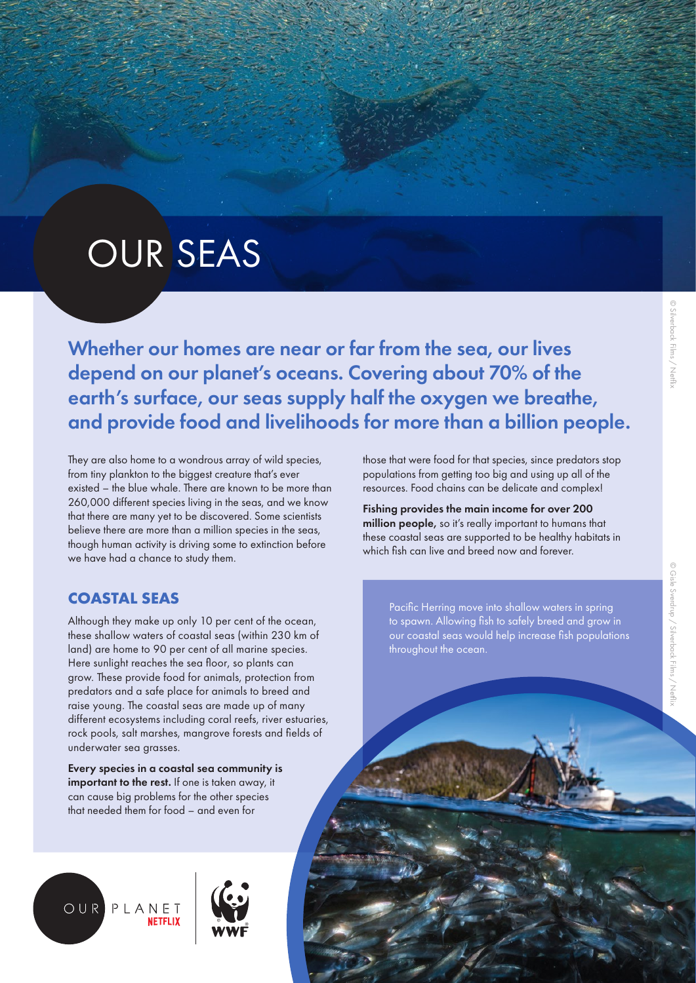# © Gisle Sverdrup / Silverback Films / Netfli © Gisle Sverdrup / Silverback Films / Netflix

# OUR SEAS

Whether our homes are near or far from the sea, our lives depend on our planet's oceans. Covering about 70% of the earth's surface, our seas supply half the oxygen we breathe, and provide food and livelihoods for more than a billion people.

They are also home to a wondrous array of wild species, from tiny plankton to the biggest creature that's ever existed – the blue whale. There are known to be more than 260,000 different species living in the seas, and we know that there are many yet to be discovered. Some scientists believe there are more than a million species in the seas, though human activity is driving some to extinction before we have had a chance to study them.

# **COASTAL SEAS**

Although they make up only 10 per cent of the ocean, these shallow waters of coastal seas (within 230 km of land) are home to 90 per cent of all marine species. Here sunlight reaches the sea floor, so plants can grow. These provide food for animals, protection from predators and a safe place for animals to breed and raise young. The coastal seas are made up of many different ecosystems including coral reefs, river estuaries, rock pools, salt marshes, mangrove forests and fields of underwater sea grasses.

Every species in a coastal sea community is important to the rest. If one is taken away, it can cause big problems for the other species that needed them for food – and even for





those that were food for that species, since predators stop populations from getting too big and using up all of the resources. Food chains can be delicate and complex!

Fishing provides the main income for over 200 million people, so it's really important to humans that these coastal seas are supported to be healthy habitats in which fish can live and breed now and forever.

Pacific Herring move into shallow waters in spring to spawn. Allowing fish to safely breed and grow in our coastal seas would help increase fish populations throughout the ocean.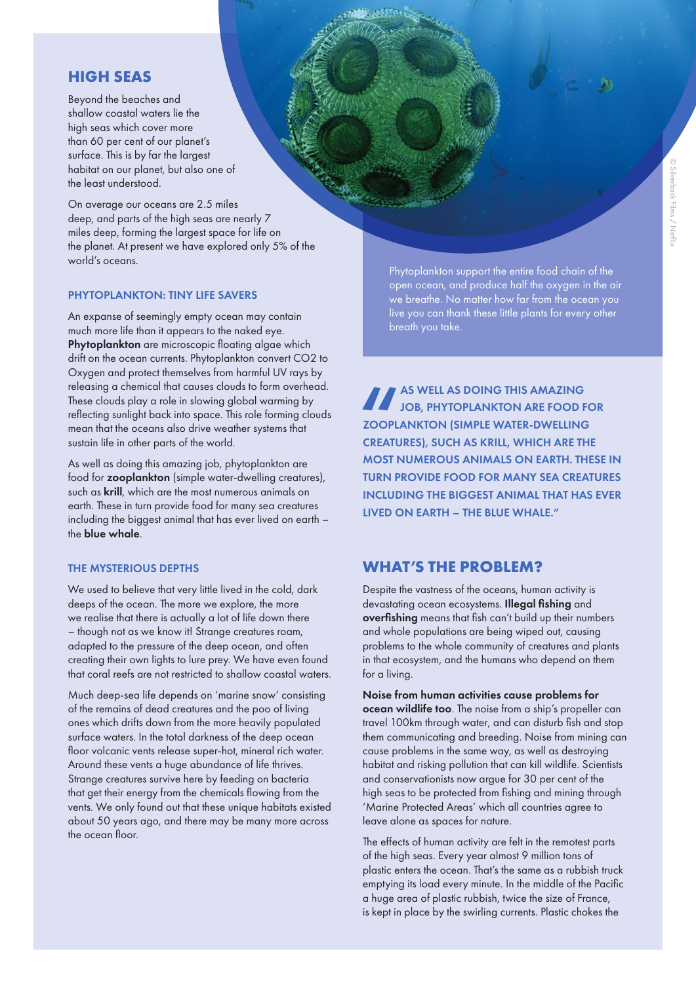# **HIGH SEAS**

Beyond the beaches and shallow coastal waters lie the high seas which cover more than 60 per cent of our planet's surface. This is by far the largest habitat on our planet, but also one of the least understood.

On average our oceans are 2.5 miles deep, and parts of the high seas are nearly 7 miles deep, forming the largest space for life on the planet. At present we have explored only 5% of the world's oceans.

#### PHYTOPLANKTON: TINY LIFE SAVERS

An expanse of seemingly empty ocean may contain much more life than it appears to the naked eye. Phytoplankton are microscopic floating algae which drift on the ocean currents. Phytoplankton convert CO2 to Oxygen and protect themselves from harmful UV rays by releasing a chemical that causes clouds to form overhead. These clouds play a role in slowing global warming by reflecting sunlight back into space. This role forming clouds mean that the oceans also drive weather systems that sustain life in other parts of the world.

As well as doing this amazing job, phytoplankton are food for zooplankton (simple water-dwelling creatures), such as krill, which are the most numerous animals on earth. These in turn provide food for many sea creatures including the biggest animal that has ever lived on earth – the blue whale.

## THE MYSTERIOUS DEPTHS

We used to believe that very little lived in the cold, dark deeps of the ocean. The more we explore, the more we realise that there is actually a lot of life down there – though not as we know it! Strange creatures roam, adapted to the pressure of the deep ocean, and often creating their own lights to lure prey. We have even found that coral reefs are not restricted to shallow coastal waters.

Much deep-sea life depends on 'marine snow' consisting of the remains of dead creatures and the poo of living ones which drifts down from the more heavily populated surface waters. In the total darkness of the deep ocean floor volcanic vents release super-hot, mineral rich water. Around these vents a huge abundance of life thrives. Strange creatures survive here by feeding on bacteria that get their energy from the chemicals flowing from the vents. We only found out that these unique habitats existed about 50 years ago, and there may be many more across the ocean floor.

Phytoplankton support the entire food chain of the open ocean, and produce half the oxygen in the air we breathe. No matter how far from the ocean you live you can thank these little plants for every other breath you take.

THE ZOOPL AS WELL AS DOING THIS AMAZING JOB, PHYTOPLANKTON ARE FOOD FOR ZOOPLANKTON (SIMPLE WATER-DWELLING CREATURES), SUCH AS KRILL, WHICH ARE THE MOST NUMEROUS ANIMALS ON EARTH. THESE IN TURN PROVIDE FOOD FOR MANY SEA CREATURES INCLUDING THE BIGGEST ANIMAL THAT HAS EVER LIVED ON EARTH – THE BLUE WHALE."

# **WHAT'S THE PROBLEM?**

Despite the vastness of the oceans, human activity is devastating ocean ecosystems. Illegal fishing and overfishing means that fish can't build up their numbers and whole populations are being wiped out, causing problems to the whole community of creatures and plants in that ecosystem, and the humans who depend on them for a living.

Noise from human activities cause problems for ocean wildlife too. The noise from a ship's propeller can travel 100km through water, and can disturb fish and stop them communicating and breeding. Noise from mining can cause problems in the same way, as well as destroying habitat and risking pollution that can kill wildlife. Scientists and conservationists now argue for 30 per cent of the high seas to be protected from fishing and mining through 'Marine Protected Areas' which all countries agree to leave alone as spaces for nature.

The effects of human activity are felt in the remotest parts of the high seas. Every year almost 9 million tons of plastic enters the ocean. That's the same as a rubbish truck emptying its load every minute. In the middle of the Pacific a huge area of plastic rubbish, twice the size of France, is kept in place by the swirling currents. Plastic chokes the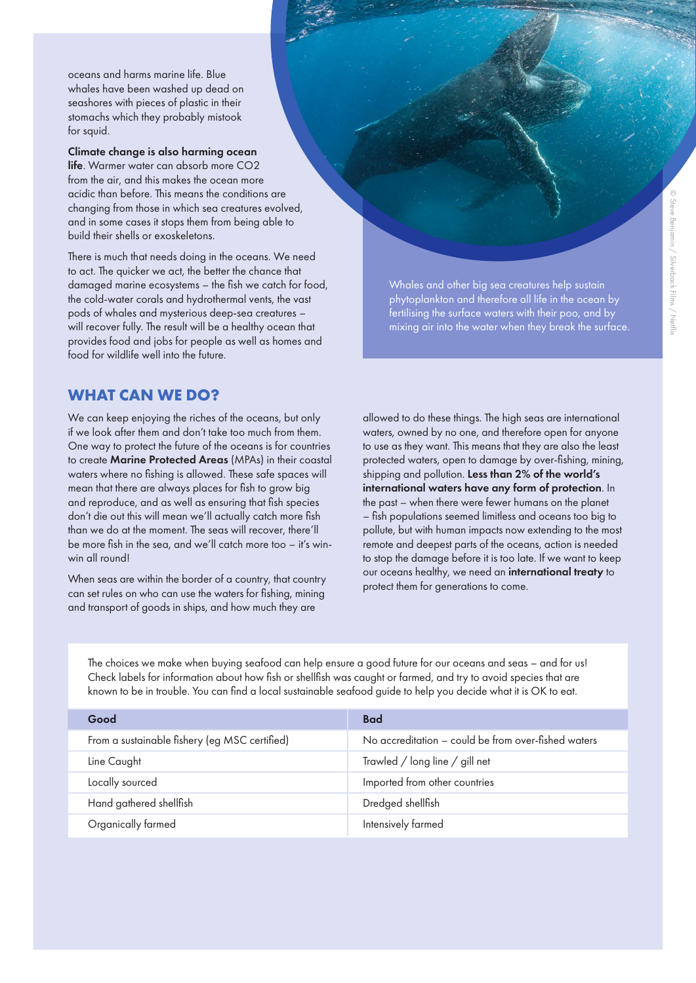oceans and harms marine life. Blue whales have been washed up dead on seashores with pieces of plastic in their stomachs which they probably mistook for squid.

# Climate change is also harming ocean

life. Warmer water can absorb more CO2 from the air, and this makes the ocean more acidic than before. This means the conditions are changing from those in which sea creatures evolved, and in some cases it stops them from being able to build their shells or exoskeletons.

There is much that needs doing in the oceans. We need to act. The quicker we act, the better the chance that damaged marine ecosystems – the fish we catch for food, the cold-water corals and hydrothermal vents, the vast pods of whales and mysterious deep-sea creatures – will recover fully. The result will be a healthy ocean that provides food and jobs for people as well as homes and food for wildlife well into the future.

**WHAT CAN WE DO?**

We can keep enjoying the riches of the oceans, but only if we look after them and don't take too much from them. One way to protect the future of the oceans is for countries to create Marine Protected Areas (MPAs) in their coastal waters where no fishing is allowed. These safe spaces will mean that there are always places for fish to grow big and reproduce, and as well as ensuring that fish species don't die out this will mean we'll actually catch more fish than we do at the moment. The seas will recover, there'll be more fish in the sea, and we'll catch more too – it's winwin all round!

When seas are within the border of a country, that country can set rules on who can use the waters for fishing, mining and transport of goods in ships, and how much they are

Whales and other big sea creatures help sustain phytoplankton and therefore all life in the ocean by fertilising the surface waters with their poo, and by mixing air into the water when they break the surface.

allowed to do these things. The high seas are international waters, owned by no one, and therefore open for anyone to use as they want. This means that they are also the least protected waters, open to damage by over-fishing, mining, shipping and pollution. Less than 2% of the world's international waters have any form of protection. In the past – when there were fewer humans on the planet – fish populations seemed limitless and oceans too big to pollute, but with human impacts now extending to the most remote and deepest parts of the oceans, action is needed to stop the damage before it is too late. If we want to keep our oceans healthy, we need an international treaty to protect them for generations to come.

The choices we make when buying seafood can help ensure a good future for our oceans and seas – and for us! Check labels for information about how fish or shellfish was caught or farmed, and try to avoid species that are known to be in trouble. You can find a local sustainable seafood guide to help you decide what it is OK to eat.

| Good                                          | <b>Bad</b>                                          |
|-----------------------------------------------|-----------------------------------------------------|
| From a sustainable fishery (eg MSC certified) | No accreditation – could be from over-fished waters |
| Line Caught                                   | Trawled / long line / gill net                      |
| Locally sourced                               | Imported from other countries                       |
| Hand gathered shellfish                       | Dredged shellfish                                   |
| Organically farmed                            | Intensively farmed                                  |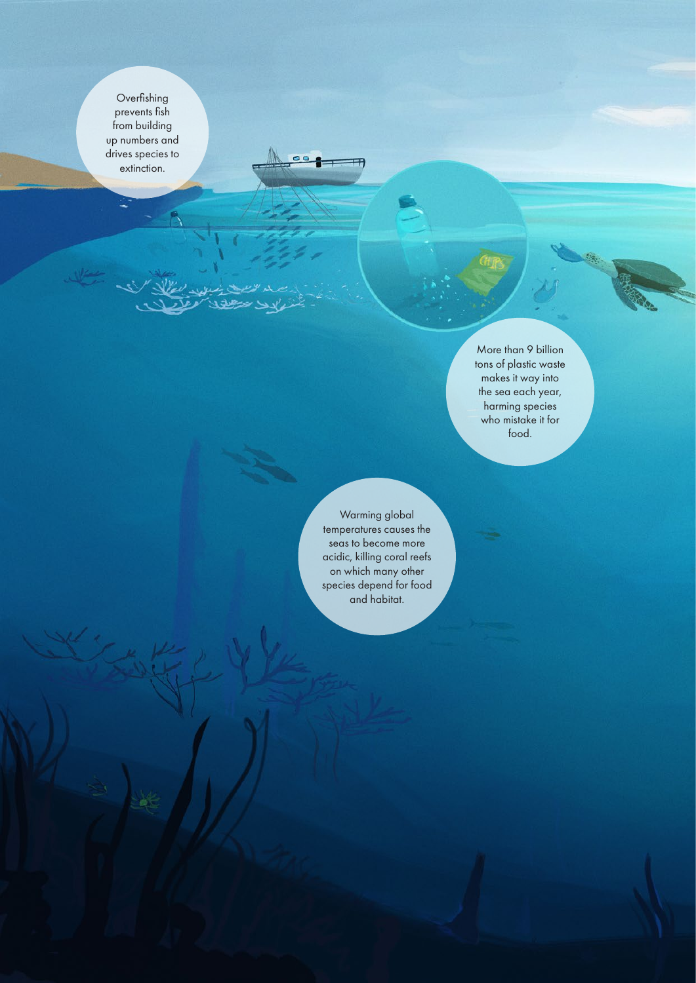Overfishing prevents fish from building up numbers and drives species to extinction.

> More than 9 billion tons of plastic waste makes it way into the sea each year, harming species who mistake it for food.

Warming global temperatures causes the seas to become more acidic, killing coral reefs on which many other species depend for food and habitat.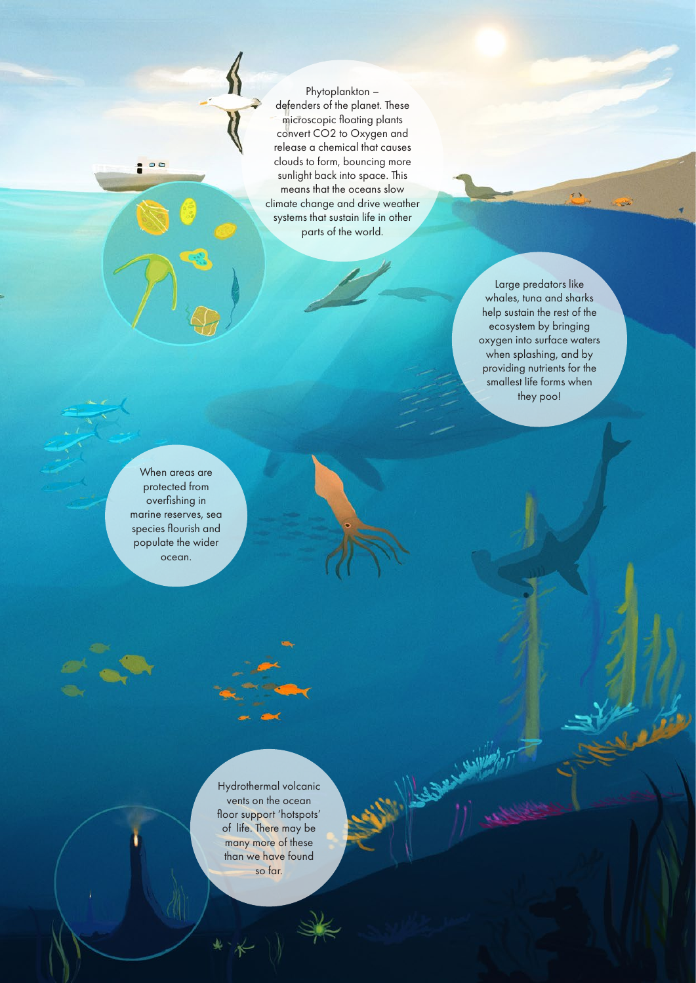Phytoplankton – defenders of the planet. These microscopic floating plants convert CO2 to Oxygen and release a chemical that causes clouds to form, bouncing more sunlight back into space. This means that the oceans slow climate change and drive weather systems that sustain life in other parts of the world.

> Large predators like whales, tuna and sharks help sustain the rest of the ecosystem by bringing oxygen into surface waters when splashing, and by providing nutrients for the smallest life forms when they poo!

 $\overline{\cdot}$ 

When areas are protected from overfishing in marine reserves, sea species flourish and populate the wider ocean.

: 00

Hydrothermal volcanic vents on the ocean floor support 'hotspots' of life. There may be many more of these than we have found so far.

**Allegate**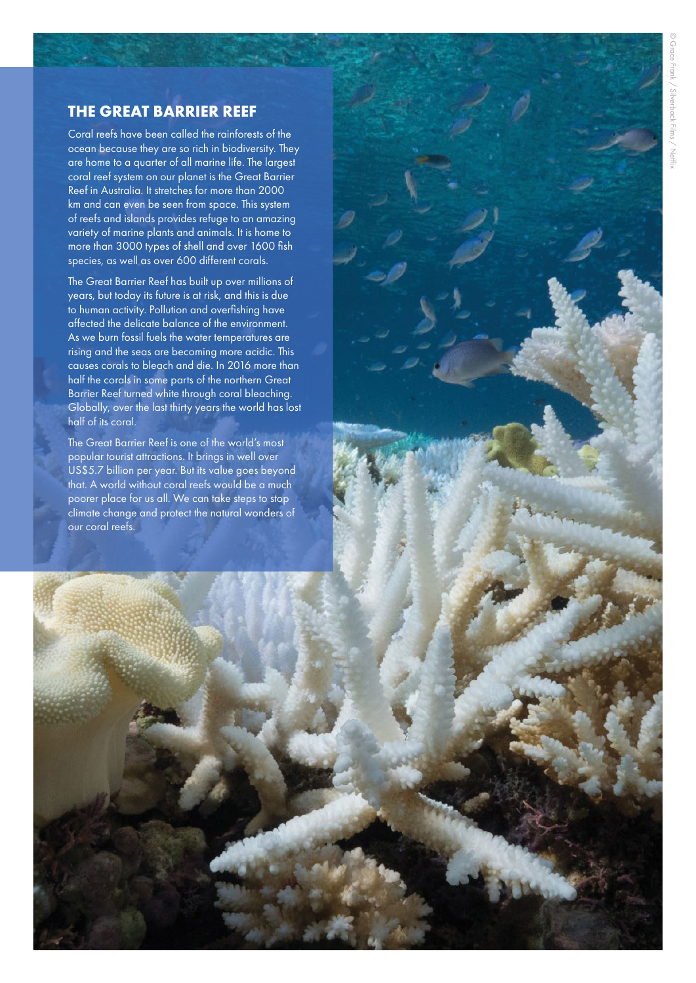# **THE GREAT BARRIER REEF**

Coral reefs have been called the rainforests of the ocean because they are so rich in biodiversity. They are home to a quarter of all marine life. The largest coral reef system on our planet is the Great Barrier Reef in Australia. It stretches for more than 2000 km and can even be seen from space. This system of reefs and islands provides refuge to an amazing variety of marine plants and animals. It is home to more than 3000 types of shell and over 1600 fish species, as well as over 600 different corals.

The Great Barrier Reef has built up over millions of years, but today its future is at risk, and this is due to human activity. Pollution and overfishing have affected the delicate balance of the environment. As we burn fossil fuels the water temperatures are rising and the seas are becoming more acidic. This causes corals to bleach and die. In 2016 more than half the corals in some parts of the northern Great Barrier Reef turned white through coral bleaching. Globally, over the last thirty years the world has lost half of its coral.

The Great Barrier Reef is one of the world's most popular tourist attractions. It brings in well over US\$5.7 billion per year. But its value goes beyond that. A world without coral reefs would be a much poorer place for us all. We can take steps to stop climate change and protect the natural wonders of our coral reefs.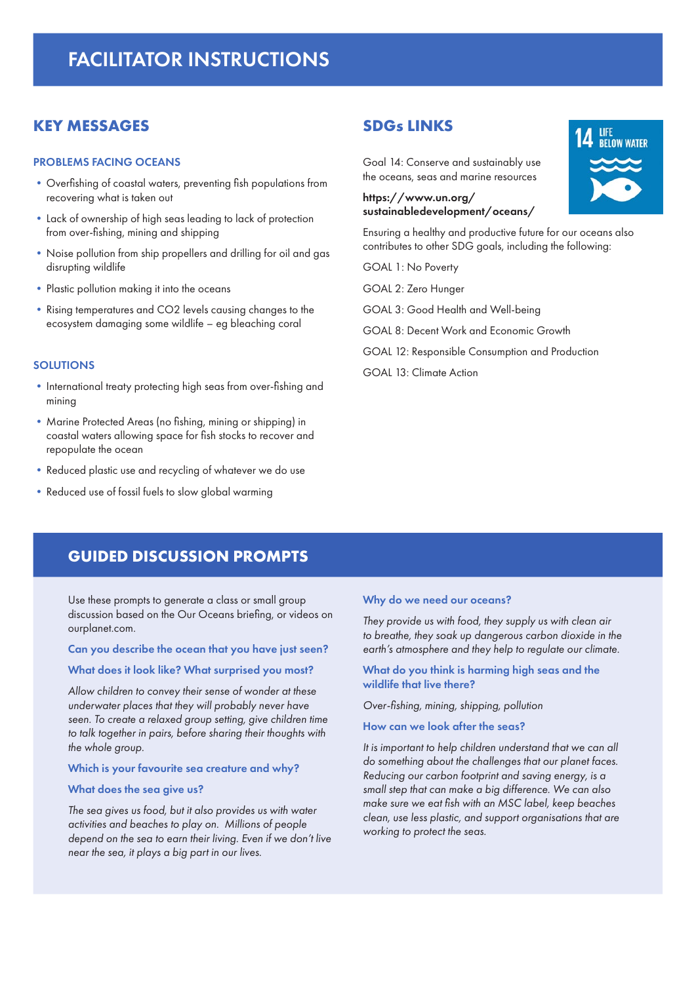# FACILITATOR INSTRUCTIONS

# **KEY MESSAGES**

### PROBLEMS FACING OCEANS

- **•**Overfishing of coastal waters, preventing fish populations from recovering what is taken out
- **•**Lack of ownership of high seas leading to lack of protection from over-fishing, mining and shipping
- **•**Noise pollution from ship propellers and drilling for oil and gas disrupting wildlife
- **•**Plastic pollution making it into the oceans
- **•**Rising temperatures and CO2 levels causing changes to the ecosystem damaging some wildlife – eg bleaching coral

#### **SOLUTIONS**

- **•**International treaty protecting high seas from over-fishing and mining
- **•**Marine Protected Areas (no fishing, mining or shipping) in coastal waters allowing space for fish stocks to recover and repopulate the ocean
- **•**Reduced plastic use and recycling of whatever we do use
- **•**Reduced use of fossil fuels to slow global warming

# **SDGs LINKS**

Goal 14: Conserve and sustainably use the oceans, seas and marine resources

# https://www.un.org/ sustainabledevelopment/oceans/

Ensuring a healthy and productive future for our oceans also contributes to other SDG goals, including the following:

- GOAL 1: No Poverty
- GOAL 2: Zero Hunger
- GOAL 3: Good Health and Well-being
- GOAL 8: Decent Work and Economic Growth
- GOAL 12: Responsible Consumption and Production
- GOAL 13: Climate Action

# **GUIDED DISCUSSION PROMPTS**

Use these prompts to generate a class or small group discussion based on the Our Oceans briefing, or videos on ourplanet.com.

#### Can you describe the ocean that you have just seen?

#### What does it look like? What surprised you most?

*Allow children to convey their sense of wonder at these underwater places that they will probably never have seen. To create a relaxed group setting, give children time to talk together in pairs, before sharing their thoughts with the whole group.* 

#### Which is your favourite sea creature and why?

#### What does the sea give us?

*The sea gives us food, but it also provides us with water activities and beaches to play on. Millions of people depend on the sea to earn their living. Even if we don't live near the sea, it plays a big part in our lives.* 

#### Why do we need our oceans?

*They provide us with food, they supply us with clean air to breathe, they soak up dangerous carbon dioxide in the earth's atmosphere and they help to regulate our climate.* 

#### What do you think is harming high seas and the wildlife that live there?

*Over-fishing, mining, shipping, pollution*

## How can we look after the seas?

*It is important to help children understand that we can all do something about the challenges that our planet faces. Reducing our carbon footprint and saving energy, is a small step that can make a big difference. We can also make sure we eat fish with an MSC label, keep beaches clean, use less plastic, and support organisations that are working to protect the seas.*